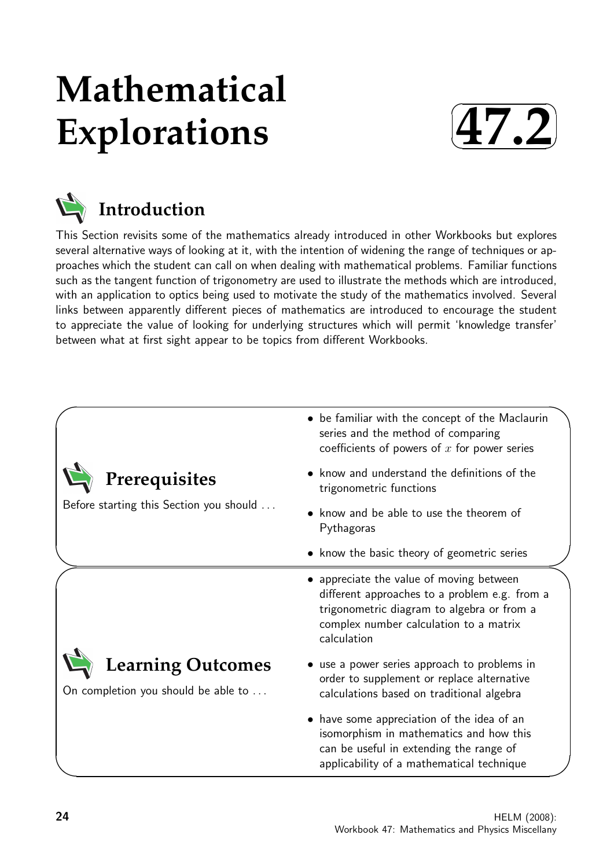# **Mathematical Explorations**





This Section revisits some of the mathematics already introduced in other Workbooks but explores several alternative ways of looking at it, with the intention of widening the range of techniques or approaches which the student can call on when dealing with mathematical problems. Familiar functions such as the tangent function of trigonometry are used to illustrate the methods which are introduced, with an application to optics being used to motivate the study of the mathematics involved. Several links between apparently different pieces of mathematics are introduced to encourage the student to appreciate the value of looking for underlying structures which will permit 'knowledge transfer' between what at first sight appear to be topics from different Workbooks.

|                                                                 | • be familiar with the concept of the Maclaurin<br>series and the method of comparing<br>coefficients of powers of $x$ for power series                                                        |  |  |  |  |  |  |
|-----------------------------------------------------------------|------------------------------------------------------------------------------------------------------------------------------------------------------------------------------------------------|--|--|--|--|--|--|
| Prerequisites                                                   | • know and understand the definitions of the<br>trigonometric functions                                                                                                                        |  |  |  |  |  |  |
| Before starting this Section you should                         | know and be able to use the theorem of<br>Pythagoras                                                                                                                                           |  |  |  |  |  |  |
|                                                                 | • know the basic theory of geometric series                                                                                                                                                    |  |  |  |  |  |  |
|                                                                 | appreciate the value of moving between<br>different approaches to a problem e.g. from a<br>trigonometric diagram to algebra or from a<br>complex number calculation to a matrix<br>calculation |  |  |  |  |  |  |
| <b>Learning Outcomes</b><br>On completion you should be able to | • use a power series approach to problems in<br>order to supplement or replace alternative<br>calculations based on traditional algebra                                                        |  |  |  |  |  |  |
|                                                                 | • have some appreciation of the idea of an<br>isomorphism in mathematics and how this<br>can be useful in extending the range of<br>applicability of a mathematical technique                  |  |  |  |  |  |  |

 $\overline{\phantom{0}}$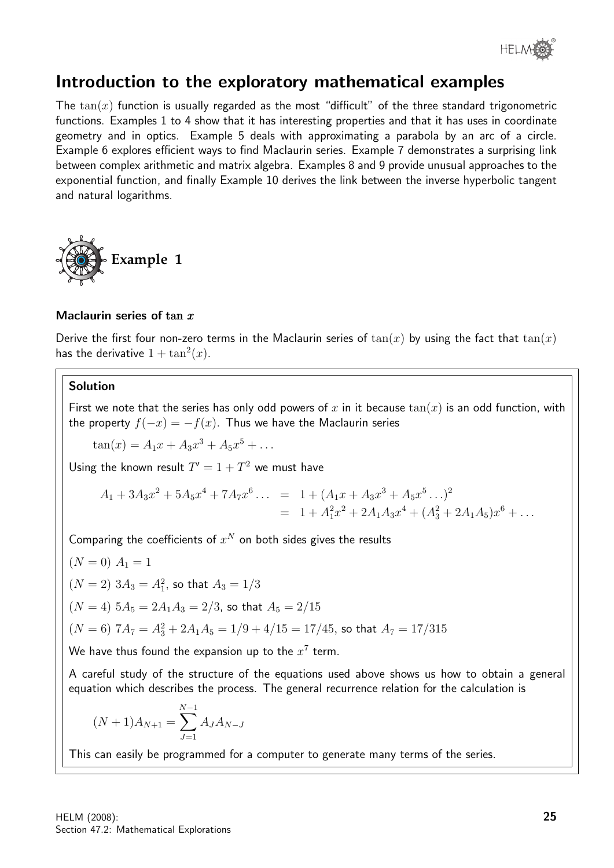

# Introduction to the exploratory mathematical examples

The  $tan(x)$  function is usually regarded as the most "difficult" of the three standard trigonometric functions. Examples 1 to 4 show that it has interesting properties and that it has uses in coordinate geometry and in optics. Example 5 deals with approximating a parabola by an arc of a circle. Example 6 explores efficient ways to find Maclaurin series. Example 7 demonstrates a surprising link between complex arithmetic and matrix algebra. Examples 8 and 9 provide unusual approaches to the exponential function, and finally Example 10 derives the link between the inverse hyperbolic tangent and natural logarithms.



#### Maclaurin series of tan  $x$

Derive the first four non-zero terms in the Maclaurin series of  $tan(x)$  by using the fact that  $tan(x)$ has the derivative  $1 + \tan^2(x)$ .

# Solution

First we note that the series has only odd powers of x in it because  $tan(x)$  is an odd function, with the property  $f(-x) = -f(x)$ . Thus we have the Maclaurin series

 $\tan(x) = A_1x + A_3x^3 + A_5x^5 + \dots$ 

Using the known result  $T' = 1 + T^2$  we must have

$$
A_1 + 3A_3x^2 + 5A_5x^4 + 7A_7x^6 \dots = 1 + (A_1x + A_3x^3 + A_5x^5 \dots)^2
$$
  
= 1 + A\_1^2x^2 + 2A\_1A\_3x^4 + (A\_3^2 + 2A\_1A\_5)x^6 + \dots

Comparing the coefficients of  $x^N$  on both sides gives the results

$$
(N = 0)
$$
 A<sub>1</sub> = 1  
(N = 2) 3A<sub>3</sub> = A<sub>1</sub><sup>2</sup>, so that A<sub>3</sub> = 1/3

 $(N = 4)$   $5A_5 = 2A_1A_3 = 2/3$ , so that  $A_5 = 2/15$ 

$$
(N=6) \ 7A_7=A_3^2+2A_1A_5=1/9+4/15=17/45, \text{ so that } A_7=17/315
$$

We have thus found the expansion up to the  $x^7$  term.

A careful study of the structure of the equations used above shows us how to obtain a general equation which describes the process. The general recurrence relation for the calculation is

$$
(N+1)A_{N+1} = \sum_{J=1}^{N-1} A_J A_{N-J}
$$

This can easily be programmed for a computer to generate many terms of the series.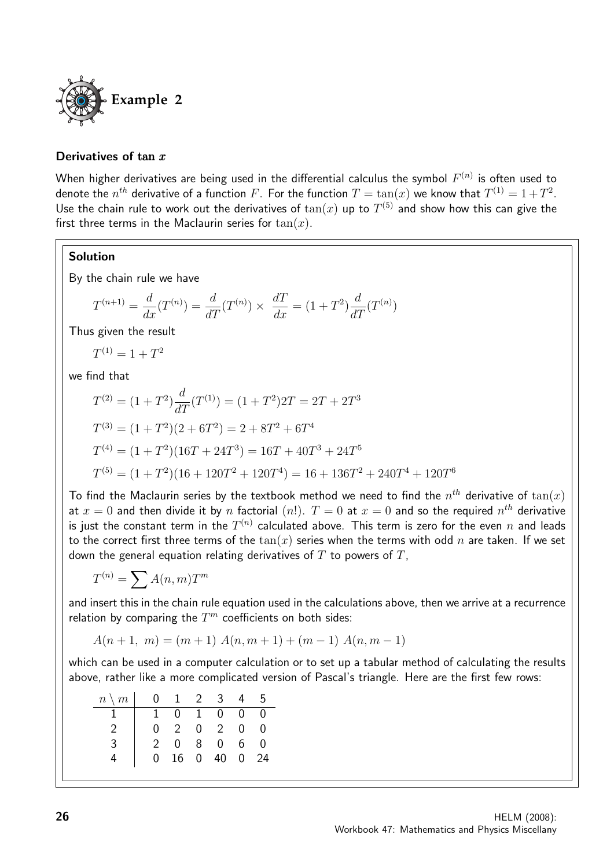

#### Derivatives of tan x

When higher derivatives are being used in the differential calculus the symbol  $F^{(n)}$  is often used to denote the  $n^{th}$  derivative of a function  $F.$  For the function  $T=\tan(x)$  we know that  $T^{(1)}=1+T^2.$ Use the chain rule to work out the derivatives of  $tan(x)$  up to  $T^{(5)}$  and show how this can give the first three terms in the Maclaurin series for  $tan(x)$ .

# Solution

By the chain rule we have

$$
T^{(n+1)} = \frac{d}{dx}(T^{(n)}) = \frac{d}{dT}(T^{(n)}) \times \frac{dT}{dx} = (1 + T^2)\frac{d}{dT}(T^{(n)})
$$

Thus given the result

 $T^{(1)} = 1 + T^2$ 

we find that

$$
T^{(2)} = (1+T^2)\frac{d}{dT}(T^{(1)}) = (1+T^2)2T = 2T + 2T^3
$$
  
\n
$$
T^{(3)} = (1+T^2)(2+6T^2) = 2+8T^2+6T^4
$$
  
\n
$$
T^{(4)} = (1+T^2)(16T+24T^3) = 16T+40T^3+24T^5
$$
  
\n
$$
T^{(5)} = (1+T^2)(16+120T^2+120T^4) = 16+136T^2+240T^4+120T^6
$$

To find the Maclaurin series by the textbook method we need to find the  $n^{th}$  derivative of  $\tan(x)$ at  $x=0$  and then divide it by  $n$  factorial  $(n!)$ .  $T=0$  at  $x=0$  and so the required  $n^{th}$  derivative is just the constant term in the  $T^{(n)}$  calculated above. This term is zero for the even  $n$  and leads to the correct first three terms of the  $tan(x)$  series when the terms with odd n are taken. If we set down the general equation relating derivatives of  $T$  to powers of  $T$ ,

$$
T^{(n)} = \sum A(n, m) T^m
$$

and insert this in the chain rule equation used in the calculations above, then we arrive at a recurrence relation by comparing the  $T^m$  coefficients on both sides:

 $A(n+1, m) = (m+1) A(n, m+1) + (m-1) A(n, m-1)$ 

which can be used in a computer calculation or to set up a tabular method of calculating the results above, rather like a more complicated version of Pascal's triangle. Here are the first few rows:

| $n \setminus m$ |                |               |                | $0 \quad 1 \quad 2 \quad 3$ | 4              | - 5            |
|-----------------|----------------|---------------|----------------|-----------------------------|----------------|----------------|
|                 | 1.             | ∩ –           | $\overline{1}$ | $\overline{0}$              | $\overline{0}$ | $\overline{0}$ |
|                 | $\overline{0}$ | $\mathcal{P}$ | $\overline{0}$ | $\overline{2}$              | $\Omega$       | $\mathbf{I}$   |
| 2               |                | $\cap$        | 8              | $\overline{0}$              | 6.             | U              |
|                 | 0              | 16            | $\overline{0}$ | 40                          | $\overline{0}$ | 24             |
|                 |                |               |                |                             |                |                |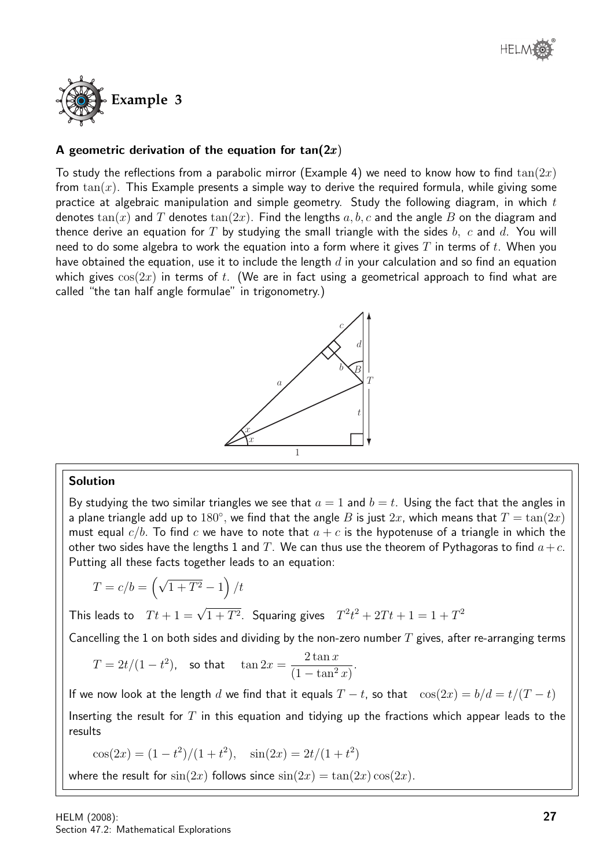

# A geometric derivation of the equation for  $tan(2x)$

To study the reflections from a parabolic mirror (Example 4) we need to know how to find  $tan(2x)$ from  $tan(x)$ . This Example presents a simple way to derive the required formula, while giving some practice at algebraic manipulation and simple geometry. Study the following diagram, in which  $t$ denotes  $tan(x)$  and T denotes  $tan(2x)$ . Find the lengths a, b, c and the angle B on the diagram and thence derive an equation for T by studying the small triangle with the sides  $b, c$  and  $d$ . You will need to do some algebra to work the equation into a form where it gives  $T$  in terms of  $t$ . When you have obtained the equation, use it to include the length  $d$  in your calculation and so find an equation which gives  $cos(2x)$  in terms of t. (We are in fact using a geometrical approach to find what are called "the tan half angle formulae" in trigonometry.)



#### Solution

By studying the two similar triangles we see that  $a = 1$  and  $b = t$ . Using the fact that the angles in a plane triangle add up to  $180^{\circ}$ , we find that the angle  $B$  is just  $2x$ , which means that  $T = \tan(2x)$ must equal  $c/b$ . To find c we have to note that  $a + c$  is the hypotenuse of a triangle in which the other two sides have the lengths 1 and T. We can thus use the theorem of Pythagoras to find  $a+c$ . Putting all these facts together leads to an equation:

$$
T = c/b = \left(\sqrt{1+T^2} - 1\right)/t
$$

This leads to  $Tt + 1 = \sqrt{1 + T^2}$ . Squaring gives  $T^2t^2 + 2Tt + 1 = 1 + T^2$ 

Cancelling the 1 on both sides and dividing by the non-zero number  $T$  gives, after re-arranging terms

$$
T = 2t/(1 - t^2)
$$
, so that  $\tan 2x = \frac{2 \tan x}{(1 - \tan^2 x)}$ .

If we now look at the length d we find that it equals  $T - t$ , so that  $\cos(2x) = b/d = t/(T - t)$ Inserting the result for  $T$  in this equation and tidying up the fractions which appear leads to the results

 $\cos(2x) = (1 - t^2)/(1 + t^2), \quad \sin(2x) = 2t/(1 + t^2)$ 

where the result for  $sin(2x)$  follows since  $sin(2x) = tan(2x) cos(2x)$ .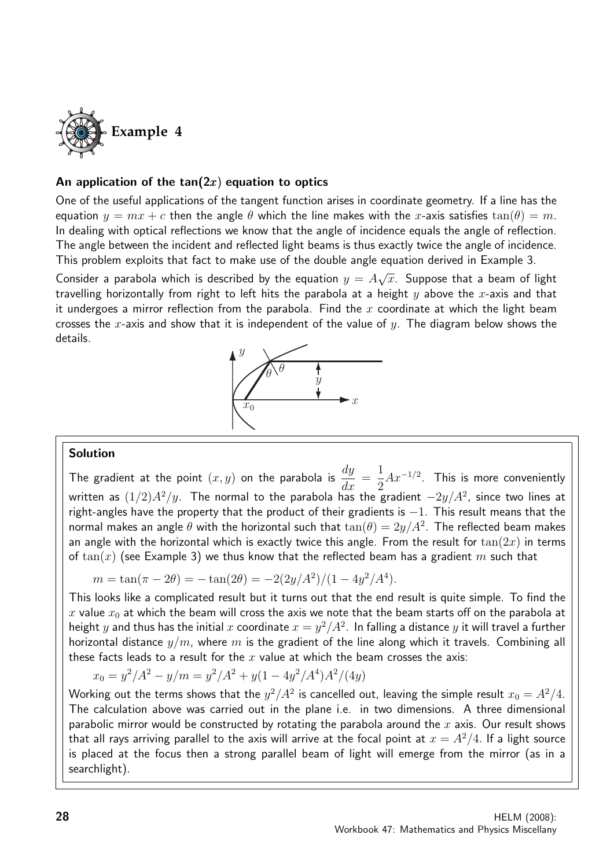

# An application of the  $tan(2x)$  equation to optics

One of the useful applications of the tangent function arises in coordinate geometry. If a line has the equation  $y = mx + c$  then the angle  $\theta$  which the line makes with the x-axis satisfies  $tan(\theta) = m$ . In dealing with optical reflections we know that the angle of incidence equals the angle of reflection. The angle between the incident and reflected light beams is thus exactly twice the angle of incidence. This problem exploits that fact to make use of the double angle equation derived in Example 3.

Consider a parabola which is described by the equation  $y = A$ √  $\overline{x}.$  Suppose that a beam of light travelling horizontally from right to left hits the parabola at a height  $y$  above the x-axis and that it undergoes a mirror reflection from the parabola. Find the x coordinate at which the light beam crosses the x-axis and show that it is independent of the value of  $y$ . The diagram below shows the details.



#### Solution

The gradient at the point  $(x, y)$  on the parabola is  $\frac{dy}{dx}$  $\frac{dy}{dx} =$ 1 2  $Ax^{-1/2}$ . This is more conveniently written as  $(1/2)A^2/y$ . The normal to the parabola has the gradient  $-2y/A^2$ , since two lines at right-angles have the property that the product of their gradients is −1. This result means that the normal makes an angle  $\theta$  with the horizontal such that  $\tan(\theta) = 2y/A^2$ . The reflected beam makes an angle with the horizontal which is exactly twice this angle. From the result for  $tan(2x)$  in terms of  $tan(x)$  (see Example 3) we thus know that the reflected beam has a gradient m such that

$$
m = \tan(\pi - 2\theta) = -\tan(2\theta) = -2(2y/A^2)/(1 - 4y^2/A^4).
$$

This looks like a complicated result but it turns out that the end result is quite simple. To find the x value  $x_0$  at which the beam will cross the axis we note that the beam starts off on the parabola at height  $y$  and thus has the initial  $x$  coordinate  $x=y^2/A^2$ . In falling a distance  $y$  it will travel a further horizontal distance  $y/m$ , where m is the gradient of the line along which it travels. Combining all these facts leads to a result for the  $x$  value at which the beam crosses the axis:

$$
x_0 = y^2/A^2 - y/m = y^2/A^2 + y(1 - 4y^2/A^4)A^2/(4y)
$$

Working out the terms shows that the  $y^2/A^2$  is cancelled out, leaving the simple result  $x_0=A^2/4.$ The calculation above was carried out in the plane i.e. in two dimensions. A three dimensional parabolic mirror would be constructed by rotating the parabola around the  $x$  axis. Our result shows that all rays arriving parallel to the axis will arrive at the focal point at  $x = A^2/4$ . If a light source is placed at the focus then a strong parallel beam of light will emerge from the mirror (as in a searchlight).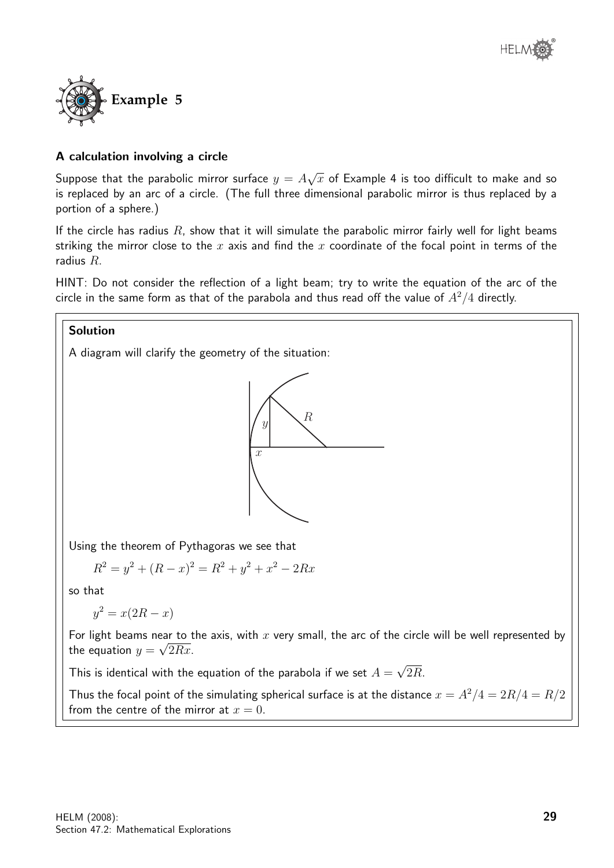

# A calculation involving a circle

Suppose that the parabolic mirror surface  $y = A$ √  $\overline{x}$  of Example 4 is too difficult to make and so is replaced by an arc of a circle. (The full three dimensional parabolic mirror is thus replaced by a portion of a sphere.)

If the circle has radius  $R$ , show that it will simulate the parabolic mirror fairly well for light beams striking the mirror close to the x axis and find the x coordinate of the focal point in terms of the radius R.

HINT: Do not consider the reflection of a light beam; try to write the equation of the arc of the circle in the same form as that of the parabola and thus read off the value of  $A^2/4$  directly.

#### Solution

A diagram will clarify the geometry of the situation:



Using the theorem of Pythagoras we see that

$$
R^2 = y^2 + (R - x)^2 = R^2 + y^2 + x^2 - 2Rx
$$

so that

$$
y^2 = x(2R - x)
$$

For light beams near to the axis, with x very small, the arc of the circle will be well represented by the equation  $y = \sqrt{2Rx}$ .

This is identical with the equation of the parabola if we set  $A=\,$ √ 2R.

Thus the focal point of the simulating spherical surface is at the distance  $x = A^2/4 = 2R/4 = R/2$ from the centre of the mirror at  $x = 0$ .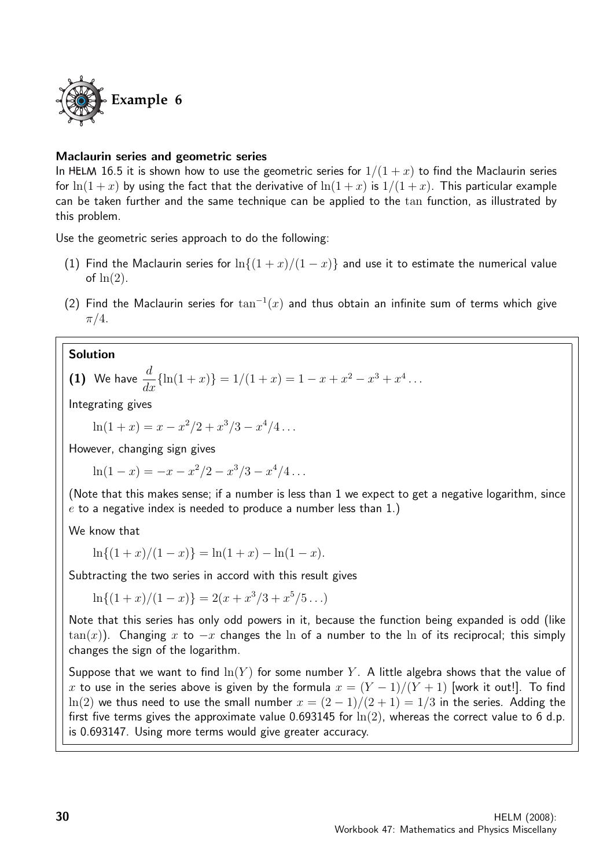

#### Maclaurin series and geometric series

In HELM 16.5 it is shown how to use the geometric series for  $1/(1+x)$  to find the Maclaurin series for  $\ln(1+x)$  by using the fact that the derivative of  $\ln(1+x)$  is  $1/(1+x)$ . This particular example can be taken further and the same technique can be applied to the tan function, as illustrated by this problem.

Use the geometric series approach to do the following:

- (1) Find the Maclaurin series for  $\ln\{(1+x)/(1-x)\}\)$  and use it to estimate the numerical value of  $ln(2)$ .
- (2) Find the Maclaurin series for  $\tan^{-1}(x)$  and thus obtain an infinite sum of terms which give  $\pi/4$ .

# Solution

(1) We have 
$$
\frac{d}{dx} \{\ln(1+x)\} = 1/(1+x) = 1 - x + x^2 - x^3 + x^4 \dots
$$

Integrating gives

 $\ln(1+x) = x - x^2/2 + x^3/3 - x^4/4 \ldots$ 

However, changing sign gives

 $\ln(1-x) = -x - x^2/2 - x^3/3 - x^4/4 \ldots$ 

(Note that this makes sense; if a number is less than 1 we expect to get a negative logarithm, since  $e$  to a negative index is needed to produce a number less than 1.)

We know that

$$
\ln\{(1+x)/(1-x)\} = \ln(1+x) - \ln(1-x).
$$

Subtracting the two series in accord with this result gives

 $\ln\{(1+x)/(1-x)\} = 2(x+x^3/3+x^5/5...)$ 

Note that this series has only odd powers in it, because the function being expanded is odd (like  $tan(x)$ ). Changing x to  $-x$  changes the ln of a number to the ln of its reciprocal; this simply changes the sign of the logarithm.

Suppose that we want to find  $\ln(Y)$  for some number Y. A little algebra shows that the value of x to use in the series above is given by the formula  $x = (Y - 1)/(Y + 1)$  [work it out!]. To find ln(2) we thus need to use the small number  $x = (2 - 1)/(2 + 1) = 1/3$  in the series. Adding the first five terms gives the approximate value 0.693145 for  $\ln(2)$ , whereas the correct value to 6 d.p. is 0.693147. Using more terms would give greater accuracy.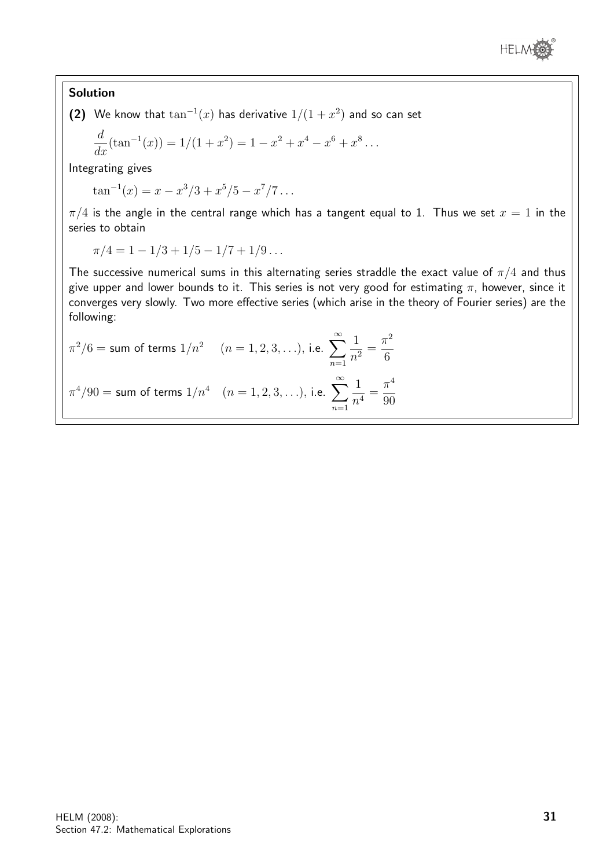

# Solution

(2) We know that  $\tan^{-1}(x)$  has derivative  $1/(1+x^2)$  and so can set

$$
\frac{d}{dx}(\tan^{-1}(x)) = 1/(1+x^2) = 1 - x^2 + x^4 - x^6 + x^8 \dots
$$

Integrating gives

$$
\tan^{-1}(x) = x - x^3/3 + x^5/5 - x^7/7 \dots
$$

 $\pi/4$  is the angle in the central range which has a tangent equal to 1. Thus we set  $x = 1$  in the series to obtain

$$
\pi/4 = 1 - 1/3 + 1/5 - 1/7 + 1/9 \dots
$$

The successive numerical sums in this alternating series straddle the exact value of  $\pi/4$  and thus give upper and lower bounds to it. This series is not very good for estimating  $\pi$ , however, since it converges very slowly. Two more effective series (which arise in the theory of Fourier series) are the following:

$$
\pi^2/6
$$
 = sum of terms  $1/n^2$   $(n = 1, 2, 3, ...),$  i.e.  $\sum_{n=1}^{\infty} \frac{1}{n^2} = \frac{\pi^2}{6}$   
 $\pi^4/90$  = sum of terms  $1/n^4$   $(n = 1, 2, 3, ...),$  i.e.  $\sum_{n=1}^{\infty} \frac{1}{n^4} = \frac{\pi^4}{90}$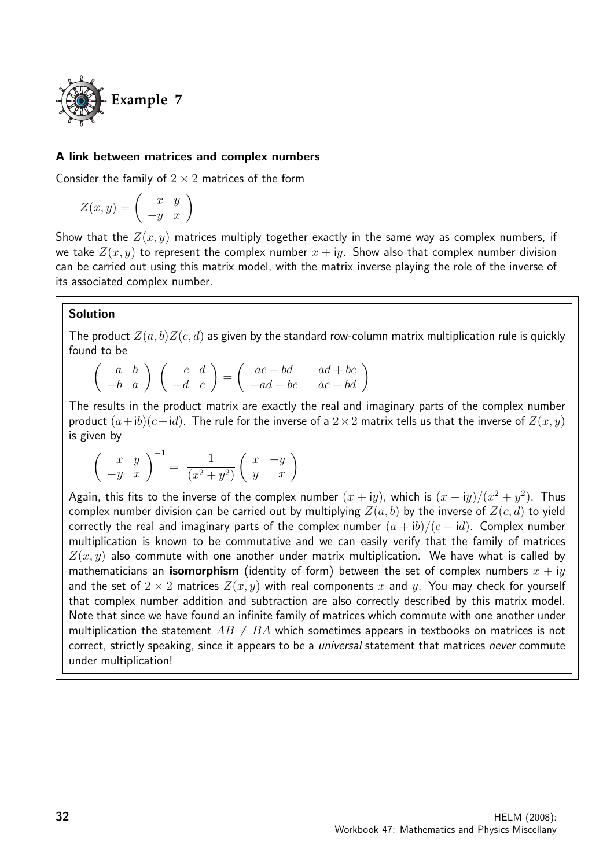

#### A link between matrices and complex numbers

Consider the family of  $2 \times 2$  matrices of the form

$$
Z(x,y) = \left(\begin{array}{cc} x & y \\ -y & x \end{array}\right)
$$

Show that the  $Z(x, y)$  matrices multiply together exactly in the same way as complex numbers, if we take  $Z(x, y)$  to represent the complex number  $x + iy$ . Show also that complex number division can be carried out using this matrix model, with the matrix inverse playing the role of the inverse of its associated complex number.

#### Solution

The product  $Z(a, b)Z(c, d)$  as given by the standard row-column matrix multiplication rule is quickly found to be

$$
\left(\begin{array}{cc}a&b\\-b&a\end{array}\right)\ \left(\begin{array}{cc}c&d\\-d&c\end{array}\right)=\left(\begin{array}{cc}ac-bd&ad+bc\\-ad-bc&ac-bd\end{array}\right)
$$

The results in the product matrix are exactly the real and imaginary parts of the complex number product  $(a+ib)(c+id)$ . The rule for the inverse of a  $2\times 2$  matrix tells us that the inverse of  $Z(x, y)$ is given by

$$
\left(\begin{array}{cc} x & y \\ -y & x \end{array}\right)^{-1} = \frac{1}{(x^2 + y^2)} \left(\begin{array}{cc} x & -y \\ y & x \end{array}\right)
$$

Again, this fits to the inverse of the complex number  $(x+iy)$ , which is  $(x-iy)/(x^2+y^2)$ . Thus complex number division can be carried out by multiplying  $Z(a, b)$  by the inverse of  $Z(c, d)$  to yield correctly the real and imaginary parts of the complex number  $(a + ib)/(c + id)$ . Complex number multiplication is known to be commutative and we can easily verify that the family of matrices  $Z(x, y)$  also commute with one another under matrix multiplication. We have what is called by mathematicians an **isomorphism** (identity of form) between the set of complex numbers  $x + iy$ and the set of  $2 \times 2$  matrices  $Z(x, y)$  with real components x and y. You may check for yourself that complex number addition and subtraction are also correctly described by this matrix model. Note that since we have found an infinite family of matrices which commute with one another under multiplication the statement  $AB \neq BA$  which sometimes appears in textbooks on matrices is not correct, strictly speaking, since it appears to be a *universal* statement that matrices never commute under multiplication!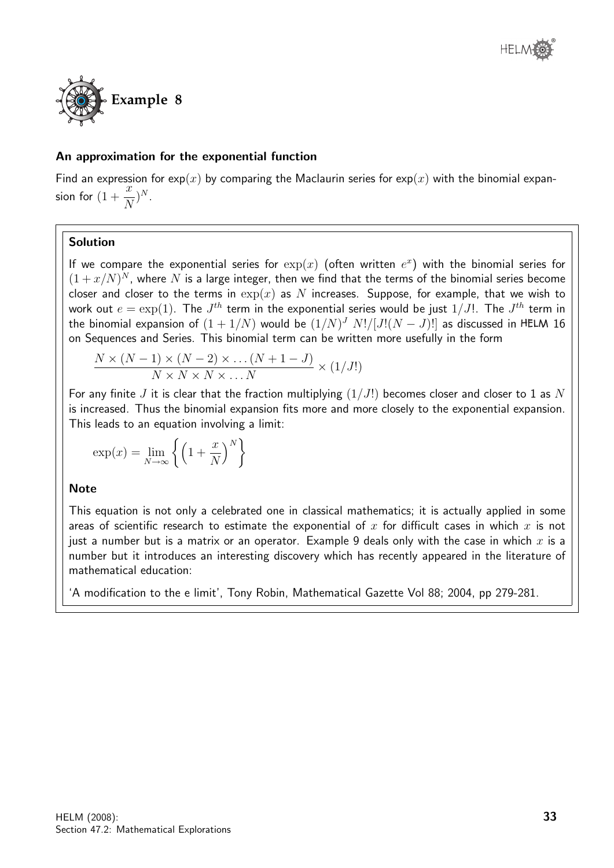

# An approximation for the exponential function

Find an expression for  $exp(x)$  by comparing the Maclaurin series for  $exp(x)$  with the binomial expansion for  $(1 + \frac{x}{\lambda})$ N  $)^N$ .

# Solution

If we compare the exponential series for  $\exp(x)$  (often written  $e^x$ ) with the binomial series for  $(1 + x/N)^N$ , where N is a large integer, then we find that the terms of the binomial series become closer and closer to the terms in  $\exp(x)$  as N increases. Suppose, for example, that we wish to work out  $e = \exp(1).$  The  $J^{th}$  term in the exponential series would be just  $1/J!$ . The  $J^{th}$  term in the binomial expansion of  $(1+1/N)$  would be  $(1/N)^J$   $N!/[J!(N-J)!]$  as discussed in <code>HELM 16</code> on Sequences and Series. This binomial term can be written more usefully in the form

$$
\frac{N \times (N-1) \times (N-2) \times \dots (N+1-J)}{N \times N \times N \times \dots N} \times (1/J!)
$$

For any finite J it is clear that the fraction multiplying  $(1/J!)$  becomes closer and closer to 1 as N is increased. Thus the binomial expansion fits more and more closely to the exponential expansion. This leads to an equation involving a limit:

$$
\exp(x) = \lim_{N \to \infty} \left\{ \left( 1 + \frac{x}{N} \right)^N \right\}
$$

# **Note**

This equation is not only a celebrated one in classical mathematics; it is actually applied in some areas of scientific research to estimate the exponential of x for difficult cases in which x is not just a number but is a matrix or an operator. Example 9 deals only with the case in which x is a number but it introduces an interesting discovery which has recently appeared in the literature of mathematical education:

'A modification to the e limit', Tony Robin, Mathematical Gazette Vol 88; 2004, pp 279-281.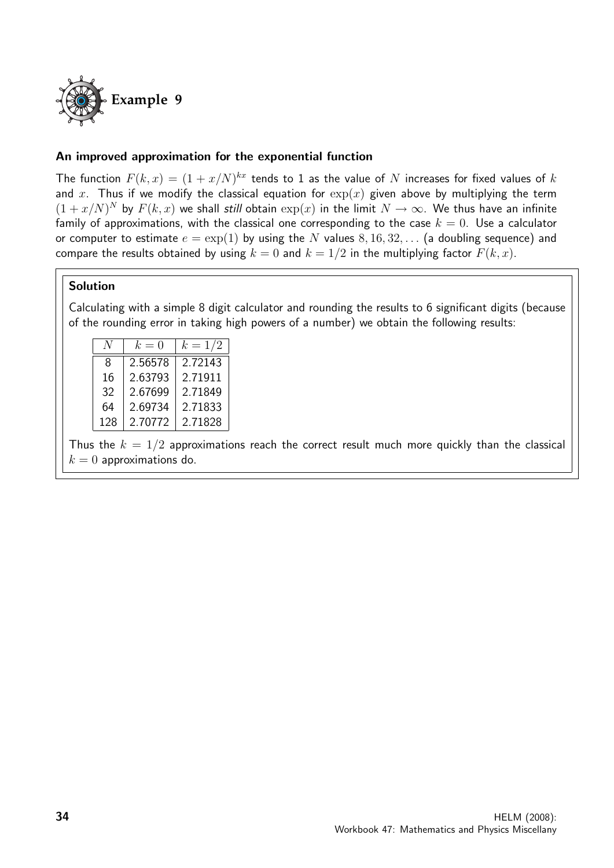

# An improved approximation for the exponential function

The function  $F(k, x) = (1 + x/N)^{kx}$  tends to 1 as the value of N increases for fixed values of k and x. Thus if we modify the classical equation for  $exp(x)$  given above by multiplying the term  $(1+x/N)^N$  by  $F(k, x)$  we shall still obtain  $\exp(x)$  in the limit  $N \to \infty$ . We thus have an infinite family of approximations, with the classical one corresponding to the case  $k = 0$ . Use a calculator or computer to estimate  $e = \exp(1)$  by using the N values  $8, 16, 32, \ldots$  (a doubling sequence) and compare the results obtained by using  $k = 0$  and  $k = 1/2$  in the multiplying factor  $F(k, x)$ .

#### Solution

Calculating with a simple 8 digit calculator and rounding the results to 6 significant digits (because of the rounding error in taking high powers of a number) we obtain the following results:

|     | $k=0$   | $k = 1/2$ |
|-----|---------|-----------|
| 8   | 2.56578 | 2.72143   |
| 16  | 2.63793 | 2.71911   |
| 32  | 2.67699 | 2.71849   |
| 64  | 2.69734 | 2.71833   |
| 128 | 2.70772 | 2.71828   |

Thus the  $k = 1/2$  approximations reach the correct result much more quickly than the classical  $k = 0$  approximations do.